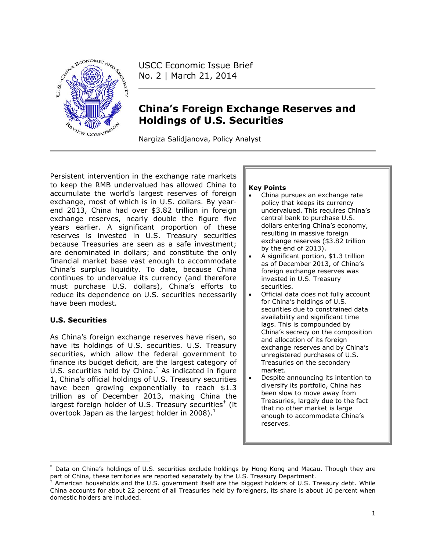

USCC Economic Issue Brief No. 2 | March 21, 2014

# **China's Foreign Exchange Reserves and Holdings of U.S. Securities**

Nargiza Salidjanova, Policy Analyst

Persistent intervention in the exchange rate markets to keep the RMB undervalued has allowed China to accumulate the world's largest reserves of foreign exchange, most of which is in U.S. dollars. By yearend 2013, China had over \$3.82 trillion in foreign exchange reserves, nearly double the figure five years earlier. A significant proportion of these reserves is invested in U.S. Treasury securities because Treasuries are seen as a safe investment; are denominated in dollars; and constitute the only financial market base vast enough to accommodate China's surplus liquidity. To date, because China continues to undervalue its currency (and therefore must purchase U.S. dollars), China's efforts to reduce its dependence on U.S. securities necessarily have been modest.

# **U.S. Securities**

 $\overline{\phantom{a}}$ 

As China's foreign exchange reserves have risen, so have its holdings of U.S. securities. U.S. Treasury securities, which allow the federal government to finance its budget deficit, are the largest category of U.S. securities held by China.\* As indicated in figure 1, China's official holdings of U.S. Treasury securities have been growing exponentially to reach \$1.3 trillion as of December 2013, making China the largest foreign holder of U.S. Treasury securities $^{\dagger}$  (it overtook Japan as the largest holder in 2008). $<sup>1</sup>$ </sup>

#### **Key Points**

- China pursues an exchange rate policy that keeps its currency undervalued. This requires China's central bank to purchase U.S. dollars entering China's economy, resulting in massive foreign exchange reserves (\$3.82 trillion by the end of 2013).
- A significant portion, \$1.3 trillion as of December 2013, of China's foreign exchange reserves was invested in U.S. Treasury securities.
- Official data does not fully account for China's holdings of U.S. securities due to constrained data availability and significant time lags. This is compounded by China's secrecy on the composition and allocation of its foreign exchange reserves and by China's unregistered purchases of U.S. Treasuries on the secondary market.
- Despite announcing its intention to diversify its portfolio, China has been slow to move away from Treasuries, largely due to the fact that no other market is large enough to accommodate China's reserves.

Data on China's holdings of U.S. securities exclude holdings by Hong Kong and Macau. Though they are part of China, these territories are reported separately by the U.S. Treasury Department.

<sup>†</sup> American households and the U.S. government itself are the biggest holders of U.S. Treasury debt. While China accounts for about 22 percent of all Treasuries held by foreigners, its share is about 10 percent when domestic holders are included.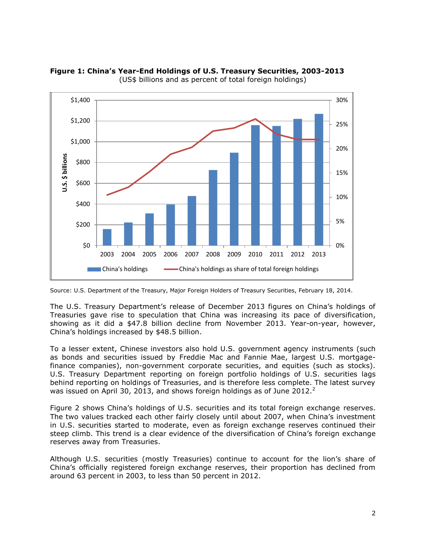

**Figure 1: China's Year-End Holdings of U.S. Treasury Securities, 2003-2013** (US\$ billions and as percent of total foreign holdings)

The U.S. Treasury Department's release of December 2013 figures on China's holdings of Treasuries gave rise to speculation that China was increasing its pace of diversification, showing as it did a \$47.8 billion decline from November 2013. Year-on-year, however, China's holdings increased by \$48.5 billion.

To a lesser extent, Chinese investors also hold U.S. government agency instruments (such as bonds and securities issued by Freddie Mac and Fannie Mae, largest U.S. mortgagefinance companies), non-government corporate securities, and equities (such as stocks). U.S. Treasury Department reporting on foreign portfolio holdings of U.S. securities lags behind reporting on holdings of Treasuries, and is therefore less complete. The latest survey was issued on April 30, 2013, and shows foreign holdings as of June 2012. $^2$ 

Figure 2 shows China's holdings of U.S. securities and its total foreign exchange reserves. The two values tracked each other fairly closely until about 2007, when China's investment in U.S. securities started to moderate, even as foreign exchange reserves continued their steep climb. This trend is a clear evidence of the diversification of China's foreign exchange reserves away from Treasuries.

Although U.S. securities (mostly Treasuries) continue to account for the lion's share of China's officially registered foreign exchange reserves, their proportion has declined from around 63 percent in 2003, to less than 50 percent in 2012.

Source: U.S. Department of the Treasury, Major Foreign Holders of Treasury Securities, February 18, 2014.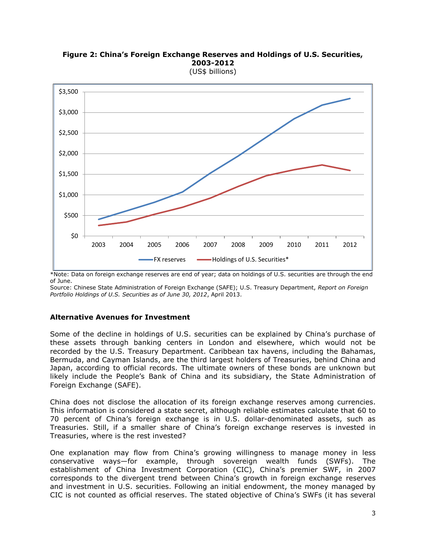

#### **Figure 2: China's Foreign Exchange Reserves and Holdings of U.S. Securities, 2003-2012** (US\$ billions)

\*Note: Data on foreign exchange reserves are end of year; data on holdings of U.S. securities are through the end of June.

Source: Chinese State Administration of Foreign Exchange (SAFE); U.S. Treasury Department, *Report on Foreign Portfolio Holdings of U.S. Securities as of June 30, 2012*, April 2013.

### **Alternative Avenues for Investment**

Some of the decline in holdings of U.S. securities can be explained by China's purchase of these assets through banking centers in London and elsewhere, which would not be recorded by the U.S. Treasury Department. Caribbean tax havens, including the Bahamas, Bermuda, and Cayman Islands, are the third largest holders of Treasuries, behind China and Japan, according to official records. The ultimate owners of these bonds are unknown but likely include the People's Bank of China and its subsidiary, the State Administration of Foreign Exchange (SAFE).

China does not disclose the allocation of its foreign exchange reserves among currencies. This information is considered a state secret, although reliable estimates calculate that 60 to 70 percent of China's foreign exchange is in U.S. dollar-denominated assets, such as Treasuries. Still, if a smaller share of China's foreign exchange reserves is invested in Treasuries, where is the rest invested?

One explanation may flow from China's growing willingness to manage money in less conservative ways—for example, through sovereign wealth funds (SWFs). The establishment of China Investment Corporation (CIC), China's premier SWF, in 2007 corresponds to the divergent trend between China's growth in foreign exchange reserves and investment in U.S. securities. Following an initial endowment, the money managed by CIC is not counted as official reserves. The stated objective of China's SWFs (it has several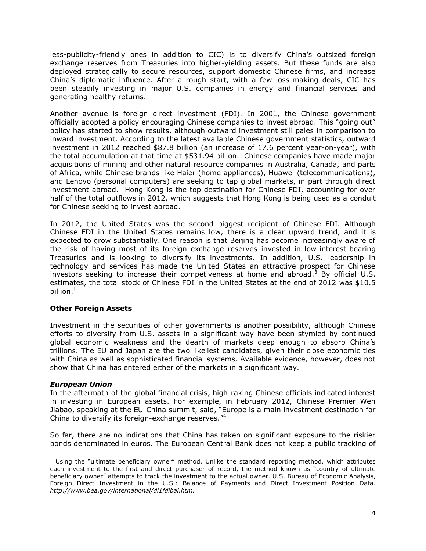less-publicity-friendly ones in addition to CIC) is to diversify China's outsized foreign exchange reserves from Treasuries into higher-yielding assets. But these funds are also deployed strategically to secure resources, support domestic Chinese firms, and increase China's diplomatic influence. After a rough start, with a few loss-making deals, CIC has been steadily investing in major U.S. companies in energy and financial services and generating healthy returns.

Another avenue is foreign direct investment (FDI). In 2001, the Chinese government officially adopted a policy encouraging Chinese companies to invest abroad. This "going out" policy has started to show results, although outward investment still pales in comparison to inward investment. According to the latest available Chinese government statistics, outward investment in 2012 reached \$87.8 billion (an increase of 17.6 percent year-on-year), with the total accumulation at that time at \$531.94 billion. Chinese companies have made major acquisitions of mining and other natural resource companies in Australia, Canada, and parts of Africa, while Chinese brands like Haier (home appliances), Huawei (telecommunications), and Lenovo (personal computers) are seeking to tap global markets, in part through direct investment abroad. Hong Kong is the top destination for Chinese FDI, accounting for over half of the total outflows in 2012, which suggests that Hong Kong is being used as a conduit for Chinese seeking to invest abroad.

In 2012, the United States was the second biggest recipient of Chinese FDI. Although Chinese FDI in the United States remains low, there is a clear upward trend, and it is expected to grow substantially. One reason is that Beijing has become increasingly aware of the risk of having most of its foreign exchange reserves invested in low-interest-bearing Treasuries and is looking to diversify its investments. In addition, U.S. leadership in technology and services has made the United States an attractive prospect for Chinese investors seeking to increase their competiveness at home and abroad.<sup>3</sup> By official U.S. estimates, the total stock of Chinese FDI in the United States at the end of 2012 was \$10.5 billion. ‡

### **Other Foreign Assets**

Investment in the securities of other governments is another possibility, although Chinese efforts to diversify from U.S. assets in a significant way have been stymied by continued global economic weakness and the dearth of markets deep enough to absorb China's trillions. The EU and Japan are the two likeliest candidates, given their close economic ties with China as well as sophisticated financial systems. Available evidence, however, does not show that China has entered either of the markets in a significant way.

### *European Union*

 $\overline{a}$ 

In the aftermath of the global financial crisis, high-raking Chinese officials indicated interest in investing in European assets. For example, in February 2012, Chinese Premier Wen Jiabao, speaking at the EU-China summit, said, "Europe is a main investment destination for China to diversify its foreign-exchange reserves."<sup>4</sup>

So far, there are no indications that China has taken on significant exposure to the riskier bonds denominated in euros. The European Central Bank does not keep a public tracking of

<sup>‡</sup> Using the "ultimate beneficiary owner" method. Unlike the standard reporting method, which attributes each investment to the first and direct purchaser of record, the method known as "country of ultimate beneficiary owner" attempts to track the investment to the actual owner. U.S. Bureau of Economic Analysis, Foreign Direct Investment in the U.S.: Balance of Payments and Direct Investment Position Data. *[http://www.bea.gov/international/di1fdibal.htm.](http://www.bea.gov/international/di1fdibal.htm)*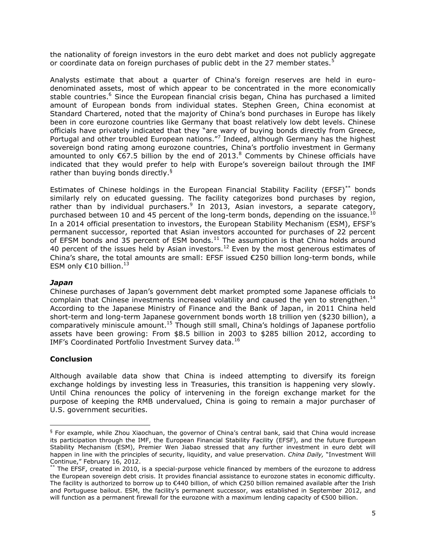the nationality of foreign investors in the euro debt market and does not publicly aggregate or coordinate data on foreign purchases of public debt in the 27 member states.<sup>5</sup>

Analysts estimate that about a quarter of China's foreign reserves are held in eurodenominated assets, most of which appear to be concentrated in the more economically stable countries.<sup>6</sup> Since the European financial crisis began, China has purchased a limited amount of European bonds from individual states. Stephen Green, China economist at Standard Chartered, noted that the majority of China's bond purchases in Europe has likely been in core eurozone countries like Germany that boast relatively low debt levels. Chinese officials have privately indicated that they "are wary of buying bonds directly from Greece, Portugal and other troubled European nations."<sup>7</sup> Indeed, although Germany has the highest sovereign bond rating among eurozone countries, China's portfolio investment in Germany amounted to only  $\epsilon$ 67.5 billion by the end of 2013.<sup>8</sup> Comments by Chinese officials have indicated that they would prefer to help with Europe's sovereign bailout through the IMF rather than buying bonds directly.<sup>§</sup>

Estimates of Chinese holdings in the European Financial Stability Facility (EFSF)<sup>\*\*</sup> bonds similarly rely on educated guessing. The facility categorizes bond purchases by region, rather than by individual purchasers.<sup>9</sup> In 2013, Asian investors, a separate category, purchased between 10 and 45 percent of the long-term bonds, depending on the issuance.<sup>10</sup> In a 2014 official presentation to investors, the European Stability Mechanism (ESM), EFSF's permanent successor, reported that Asian investors accounted for purchases of 22 percent of EFSM bonds and 35 percent of ESM bonds. $11$  The assumption is that China holds around 40 percent of the issues held by Asian investors.<sup>12</sup> Even by the most generous estimates of China's share, the total amounts are small: EFSF issued  $\epsilon$ 250 billion long-term bonds, while ESM only  $€10$  billion.<sup>13</sup>

### *Japan*

Chinese purchases of Japan's government debt market prompted some Japanese officials to complain that Chinese investments increased volatility and caused the yen to strengthen.<sup>14</sup> According to the Japanese Ministry of Finance and the Bank of Japan, in 2011 China held short-term and long-term Japanese government bonds worth 18 trillion yen (\$230 billion), a comparatively miniscule amount.<sup>15</sup> Though still small, China's holdings of Japanese portfolio assets have been growing: From \$8.5 billion in 2003 to \$285 billion 2012, according to IMF's Coordinated Portfolio Investment Survey data.<sup>16</sup>

# **Conclusion**

 $\overline{\phantom{a}}$ 

Although available data show that China is indeed attempting to diversify its foreign exchange holdings by investing less in Treasuries, this transition is happening very slowly. Until China renounces the policy of intervening in the foreign exchange market for the purpose of keeping the RMB undervalued, China is going to remain a major purchaser of U.S. government securities.

<sup>§</sup> For example, while Zhou Xiaochuan, the governor of China's central bank, said that China would increase its participation through the IMF, the European Financial Stability Facility (EFSF), and the future European Stability Mechanism (ESM), Premier Wen Jiabao stressed that any further investment in euro debt will happen in line with the principles of security, liquidity, and value preservation. *China Daily,* "Investment Will Continue," February 16, 2012.

The EFSF, created in 2010, is a special-purpose vehicle financed by members of the eurozone to address the European sovereign debt crisis. It provides financial assistance to eurozone states in economic difficulty. The facility is authorized to borrow up to €440 billion, of which €250 billion remained available after the Irish and Portuguese bailout. ESM, the facility's permanent successor, was established in September 2012, and will function as a permanent firewall for the eurozone with a maximum lending capacity of €500 billion.